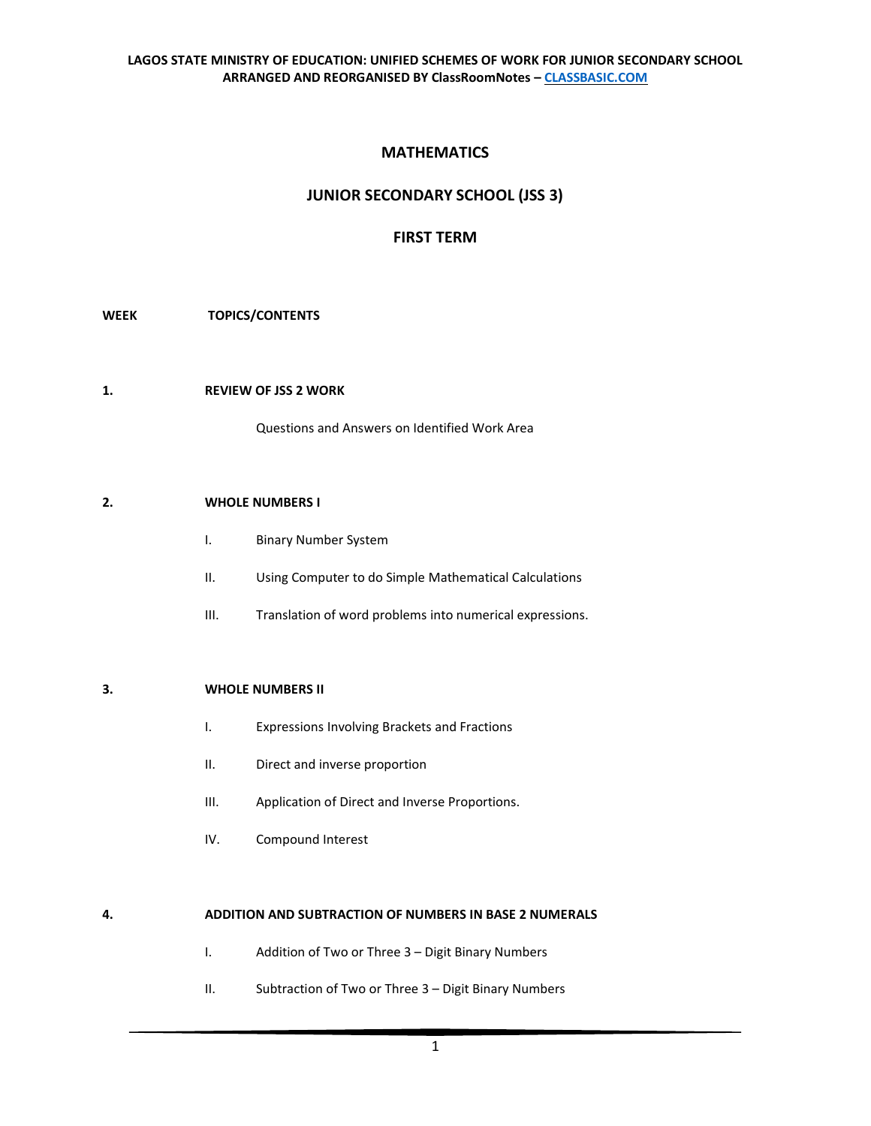# **MATHEMATICS**

# **JUNIOR SECONDARY SCHOOL (JSS 3)**

## **FIRST TERM**

## **WEEK TOPICS/CONTENTS**

#### **1. REVIEW OF JSS 2 WORK**

Questions and Answers on Identified Work Area

#### **2. WHOLE NUMBERS I**

- I. Binary Number System
- II. Using Computer to do Simple Mathematical Calculations
- III. Translation of word problems into numerical expressions.

## **3. WHOLE NUMBERS II**

- I. Expressions Involving Brackets and Fractions
- II. Direct and inverse proportion
- III. Application of Direct and Inverse Proportions.
- IV. Compound Interest

## **4. ADDITION AND SUBTRACTION OF NUMBERS IN BASE 2 NUMERALS**

- I. Addition of Two or Three 3 Digit Binary Numbers
- II. Subtraction of Two or Three 3 Digit Binary Numbers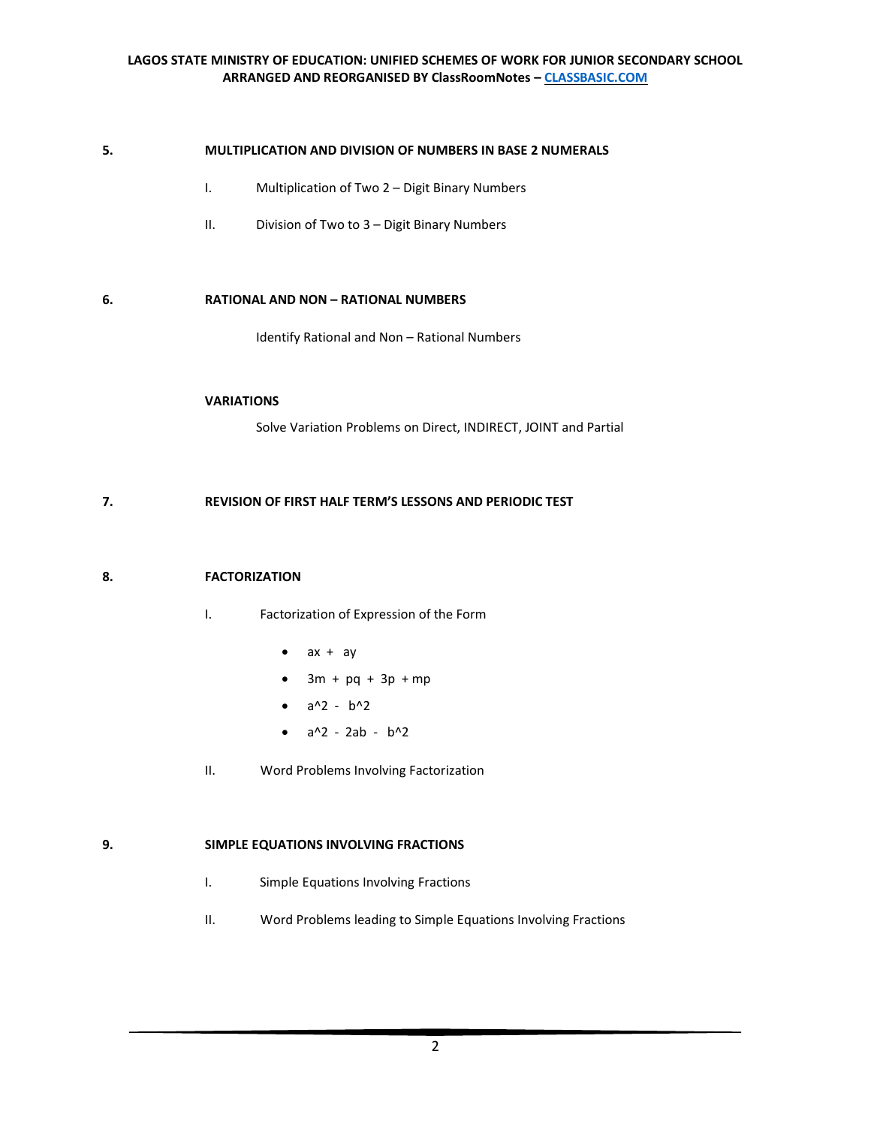## **5. MULTIPLICATION AND DIVISION OF NUMBERS IN BASE 2 NUMERALS**

- I. Multiplication of Two 2 Digit Binary Numbers
- II. Division of Two to 3 Digit Binary Numbers

#### **6. RATIONAL AND NON – RATIONAL NUMBERS**

Identify Rational and Non – Rational Numbers

## **VARIATIONS**

Solve Variation Problems on Direct, INDIRECT, JOINT and Partial

## **7. REVISION OF FIRST HALF TERM'S LESSONS AND PERIODIC TEST**

#### **8. FACTORIZATION**

- I. Factorization of Expression of the Form
	- $ax + ay$
	- $3m + pq + 3p + mp$
	- $a^2 b^2$
	- $a^2 2ab b^2$
- II. Word Problems Involving Factorization

## **9. SIMPLE EQUATIONS INVOLVING FRACTIONS**

- I. Simple Equations Involving Fractions
- II. Word Problems leading to Simple Equations Involving Fractions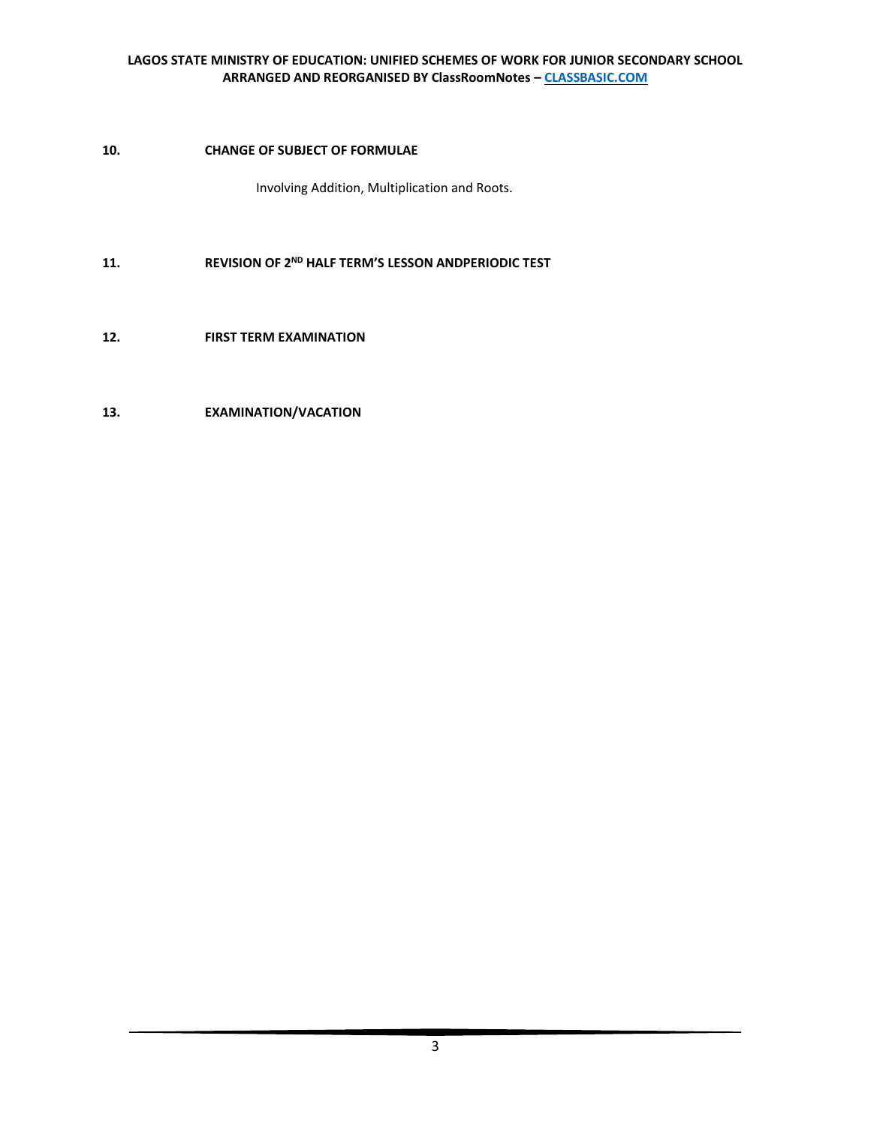## **10. CHANGE OF SUBJECT OF FORMULAE**

Involving Addition, Multiplication and Roots.

- **11. REVISION OF 2ND HALF TERM'S LESSON ANDPERIODIC TEST**
- **12. FIRST TERM EXAMINATION**

## **13. EXAMINATION/VACATION**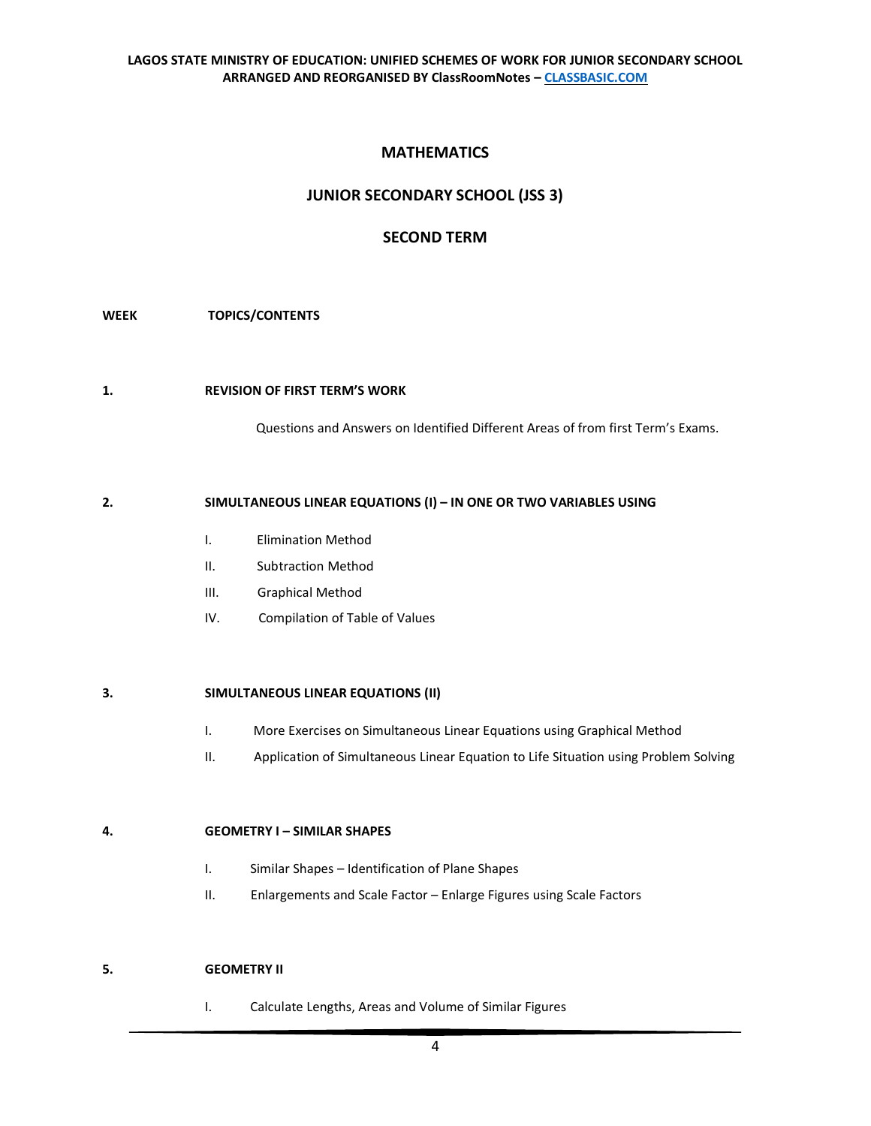# **MATHEMATICS**

## **JUNIOR SECONDARY SCHOOL (JSS 3)**

## **SECOND TERM**

## **WEEK TOPICS/CONTENTS**

### **1. REVISION OF FIRST TERM'S WORK**

Questions and Answers on Identified Different Areas of from first Term's Exams.

#### **2. SIMULTANEOUS LINEAR EQUATIONS (I) – IN ONE OR TWO VARIABLES USING**

- I. Elimination Method
- II. Subtraction Method
- III. Graphical Method
- IV. Compilation of Table of Values

## **3. SIMULTANEOUS LINEAR EQUATIONS (II)**

- I. More Exercises on Simultaneous Linear Equations using Graphical Method
- II. Application of Simultaneous Linear Equation to Life Situation using Problem Solving

## **4. GEOMETRY I – SIMILAR SHAPES**

- I. Similar Shapes Identification of Plane Shapes
- II. Enlargements and Scale Factor Enlarge Figures using Scale Factors

## **5. GEOMETRY II**

I. Calculate Lengths, Areas and Volume of Similar Figures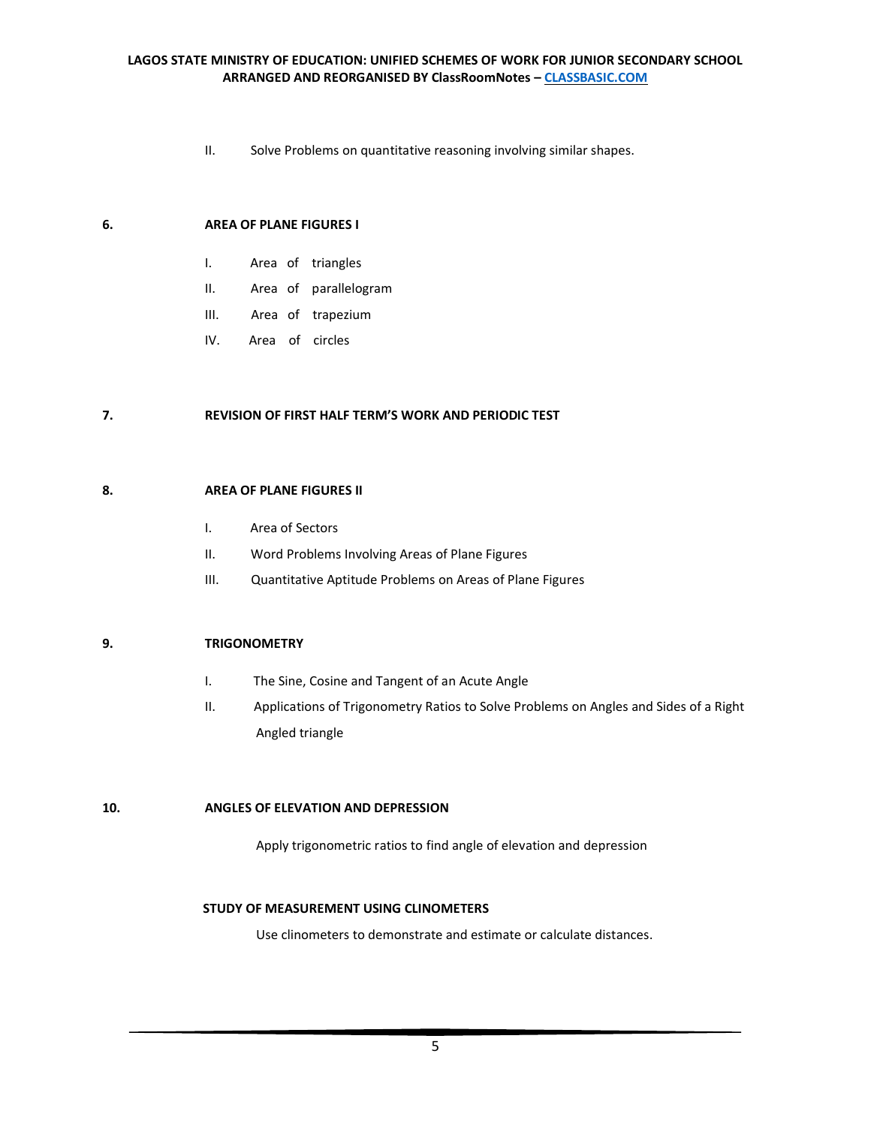II. Solve Problems on quantitative reasoning involving similar shapes.

#### **6. AREA OF PLANE FIGURES I**

- I. Area of triangles
- II. Area of parallelogram
- III. Area of trapezium
- IV. Area of circles

## **7. REVISION OF FIRST HALF TERM'S WORK AND PERIODIC TEST**

### **8. AREA OF PLANE FIGURES II**

- I. Area of Sectors
- II. Word Problems Involving Areas of Plane Figures
- III. Quantitative Aptitude Problems on Areas of Plane Figures

#### **9. TRIGONOMETRY**

- I. The Sine, Cosine and Tangent of an Acute Angle
- II. Applications of Trigonometry Ratios to Solve Problems on Angles and Sides of a Right Angled triangle

#### **10. ANGLES OF ELEVATION AND DEPRESSION**

Apply trigonometric ratios to find angle of elevation and depression

## **STUDY OF MEASUREMENT USING CLINOMETERS**

Use clinometers to demonstrate and estimate or calculate distances.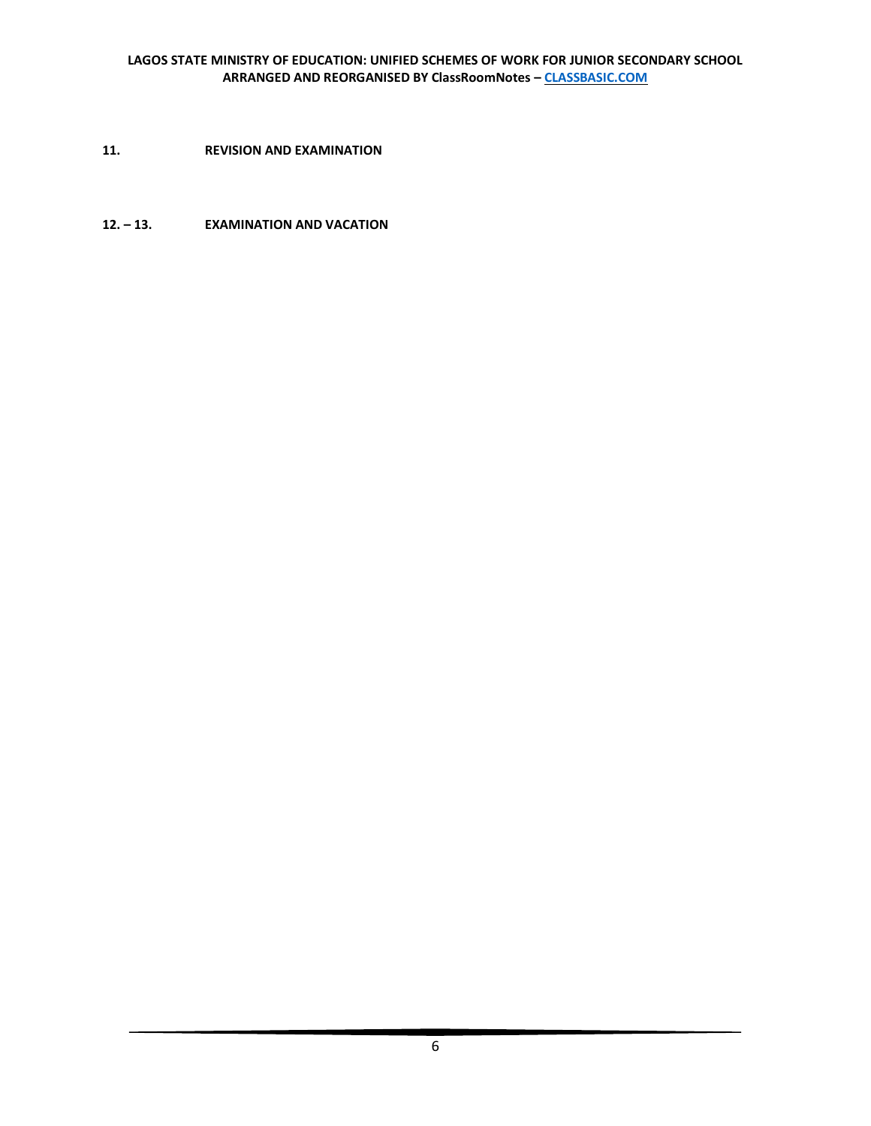**11. REVISION AND EXAMINATION** 

**12. – 13. EXAMINATION AND VACATION**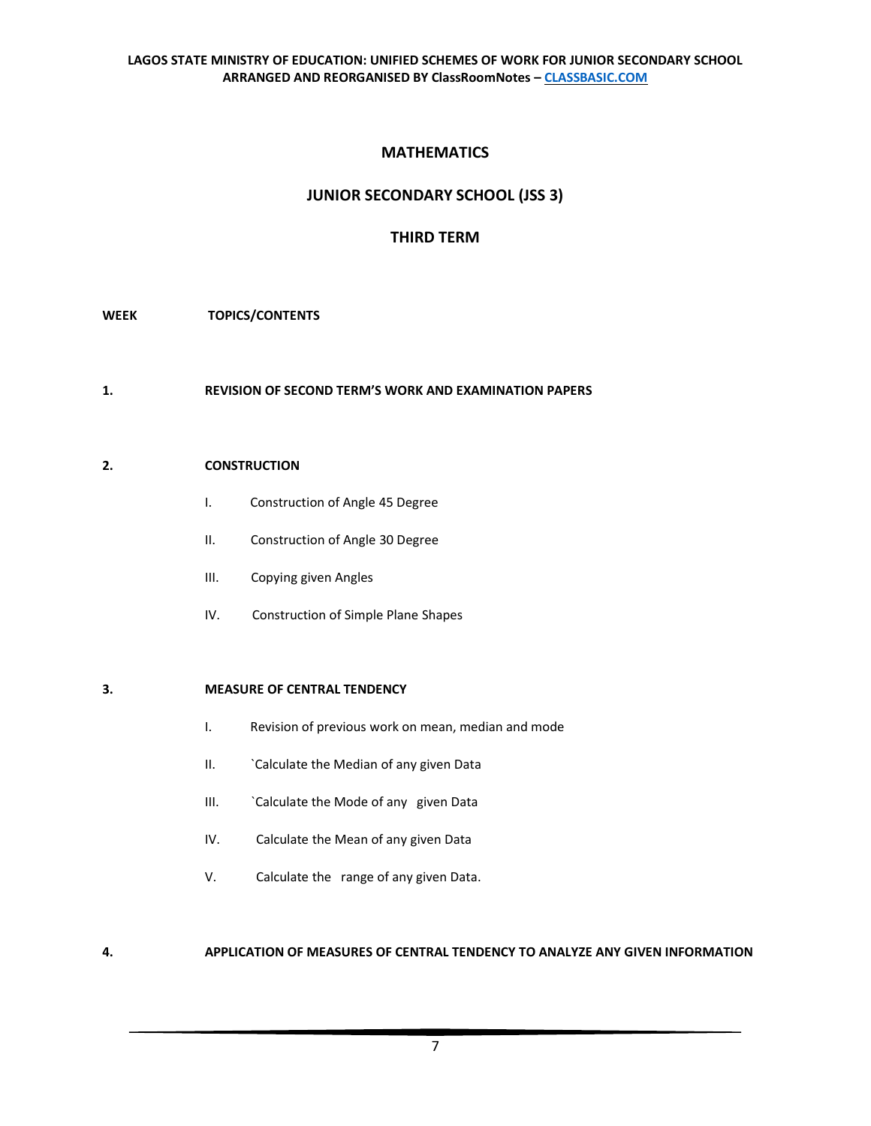# **MATHEMATICS**

# **JUNIOR SECONDARY SCHOOL (JSS 3)**

# **THIRD TERM**

## **WEEK TOPICS/CONTENTS**

**1. REVISION OF SECOND TERM'S WORK AND EXAMINATION PAPERS** 

## **2. CONSTRUCTION**

- I. Construction of Angle 45 Degree
- II. Construction of Angle 30 Degree
- III. Copying given Angles
- IV. Construction of Simple Plane Shapes

## **3. MEASURE OF CENTRAL TENDENCY**

- I. Revision of previous work on mean, median and mode
- II. Calculate the Median of any given Data
- III. `Calculate the Mode of any given Data
- IV. Calculate the Mean of any given Data
- V. Calculate the range of any given Data.

## **4. APPLICATION OF MEASURES OF CENTRAL TENDENCY TO ANALYZE ANY GIVEN INFORMATION**